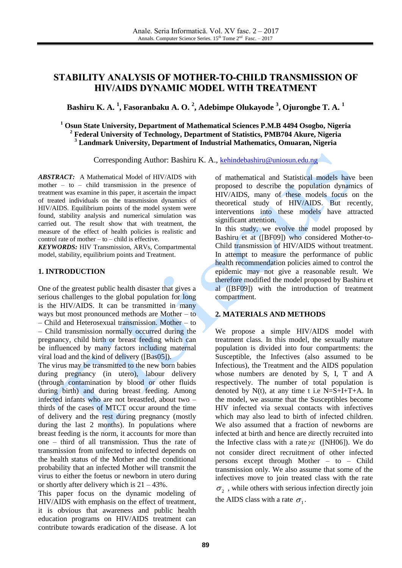# **STABILITY ANALYSIS OF MOTHER-TO-CHILD TRANSMISSION OF HIV/AIDS DYNAMIC MODEL WITH TREATMENT**

# **Bashiru K. A. 1 , Fasoranbaku A. O. 2 , Adebimpe Olukayode <sup>3</sup> , Ojurongbe T. A. 1**

**<sup>1</sup> Osun State University, Department of Mathematical Sciences P.M.B 4494 Osogbo, Nigeria <sup>2</sup> Federal University of Technology, Department of Statistics, PMB704 Akure, Nigeria <sup>3</sup> Landmark University, Department of Industrial Mathematics, Omuaran, Nigeria**

Corresponding Author: Bashiru K. A., [kehindebashiru@uniosun.edu.ng](mailto:kehindebashiru@uniosun.edu.ng)

*ABSTRACT:* A Mathematical Model of HIV/AIDS with mother – to – child transmission in the presence of treatment was examine in this paper, it ascertain the impact of treated individuals on the transmission dynamics of HIV/AIDS. Equilibrium points of the model system were found, stability analysis and numerical simulation was carried out. The result show that with treatment, the measure of the effect of health policies is realistic and control rate of mother  $-$  to  $-$  child is effective.

*KEYWORDS:* HIV Transmission, ARVs, Compartmental model, stability, equilibrium points and Treatment.

### **1. INTRODUCTION**

One of the greatest public health disaster that gives a serious challenges to the global population for long is the HIV/AIDS. It can be transmitted in many ways but most pronounced methods are Mother – to – Child and Heterosexual transmission. Mother – to – Child transmission normally occurred during the pregnancy, child birth or breast feeding which can be influenced by many factors including maternal viral load and the kind of delivery ([Bas05]).

The virus may be transmitted to the new born babies during pregnancy (in utero), labour delivery (through contamination by blood or other fluids during birth) and during breast feeding. Among infected infants who are not breastfed, about two – thirds of the cases of MTCT occur around the time of delivery and the rest during pregnancy (mostly during the last 2 months). In populations where breast feeding is the norm, it accounts for more than one – third of all transmission. Thus the rate of transmission from unifected to infected depends on the health status of the Mother and the conditional probability that an infected Mother will transmit the virus to either the foetus or newborn in utero during or shortly after delivery which is  $21 - 43\%$ .

This paper focus on the dynamic modeling of HIV/AIDS with emphasis on the effect of treatment, it is obvious that awareness and public health education programs on HIV/AIDS treatment can contribute towards eradication of the disease. A lot of mathematical and Statistical models have been proposed to describe the population dynamics of HIV/AIDS, many of these models focus on the theoretical study of HIV/AIDS. But recently, interventions into these models have attracted significant attention. In this study, we evolve the model proposed by

Bashiru et at ([BF09]) who considered Mother-to-Child transmission of HIV/AIDS without treatment. In attempt to measure the performance of public health recommendation policies aimed to control the epidemic may not give a reasonable result. We therefore modified the model proposed by Bashiru et al ([BF09]) with the introduction of treatment compartment.

### **2. MATERIALS AND METHODS**

We propose a simple HIV/AIDS model with treatment class. In this model, the sexually mature population is divided into four compartments: the Susceptible, the Infectives (also assumed to be Infectious), the Treatment and the AIDS population whose numbers are denoted by S, I, T and A respectively. The number of total population is denoted by  $N(t)$ , at any time t i.e  $N=S+I+T+A$ . In the model, we assume that the Susceptibles become HIV infected via sexual contacts with infectives which may also lead to birth of infected children. We also assumed that a fraction of newborns are infected at birth and hence are directly recruited into the Infective class with a rate  $\gamma \varepsilon$  ([NH06]). We do not consider direct recruitment of other infected persons except through Mother – to – Child transmission only. We also assume that some of the infectives move to join treated class with the rate  $\sigma_{\scriptscriptstyle 2}$  , while others with serious infection directly join the AIDS class with a rate  $\sigma_1$ .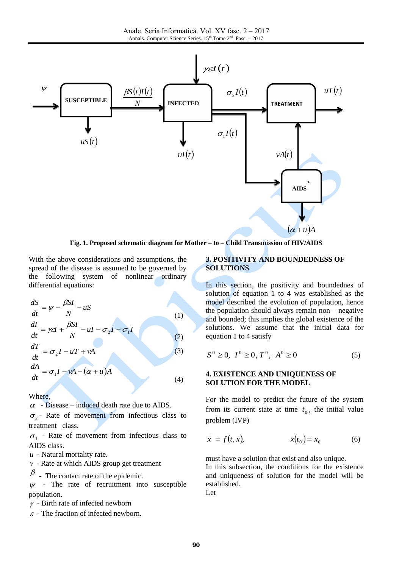

**Fig. 1. Proposed schematic diagram for Mother – to – Child Transmission of HIV/AIDS**

Δ

With the above considerations and assumptions, the spread of the disease is assumed to be governed by the following system of nonlinear ordinary differential equations:

$$
\frac{dS}{dt} = \psi - \frac{\beta SI}{N} - uS
$$
\n(1)\n
$$
\frac{dI}{dt} = \gamma \varepsilon I + \frac{\beta SI}{N} - uI - \sigma_2 I - \sigma_1 I
$$
\n(2)\n
$$
\frac{dT}{dt} = \sigma_2 I - uT + vA
$$
\n(3)\n
$$
\frac{dA}{dt} = \sigma_1 I - vA - (\alpha + u)A
$$
\n(4)

Where,

 $\alpha$  - Disease – induced death rate due to AIDS.

 $\sigma_2$ - Rate of movement from infectious class to treatment class.

 $\sigma_1$  - Rate of movement from infectious class to AIDS class.

- *u* Natural mortality rate.
- *v* Rate at which AIDS group get treatment
- $\beta$  The contact rate of the epidemic.

 $\psi$  - The rate of recruitment into susceptible population.

- $\gamma$  Birth rate of infected newborn
- $\varepsilon$  The fraction of infected newborn.

#### **3. POSITIVITY AND BOUNDEDNESS OF SOLUTIONS**

In this section, the positivity and boundednes of solution of equation 1 to 4 was established as the model described the evolution of population, hence the population should always remain non – negative and bounded; this implies the global existence of the solutions. We assume that the initial data for equation 1 to 4 satisfy

$$
S^0 \ge 0, I^0 \ge 0, T^0, A^0 \ge 0
$$
 (5)

### **4. EXISTENCE AND UNIQUENESS OF SOLUTION FOR THE MODEL**

For the model to predict the future of the system from its current state at time  $t_0$ , the initial value problem (IVP)

$$
x' = f(t, x), \qquad x(t_0) = x_0 \tag{6}
$$

must have a solution that exist and also unique.

In this subsection, the conditions for the existence and uniqueness of solution for the model will be established.

Let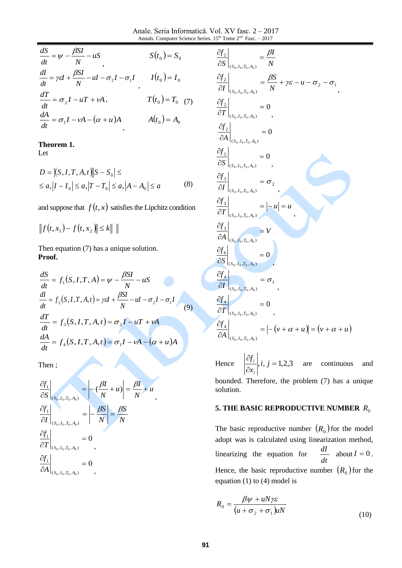Anale. Seria Informatică. Vol. XV fasc. 2 – 2017 Annals. Computer Science Series.  $15<sup>th</sup>$  Tome  $2<sup>nd</sup>$  Fasc.  $-2017$ 

| $\frac{dS}{dt} = \psi - \frac{\beta SI}{N} - uS$                                           | $S(t_0) = S_0$     |
|--------------------------------------------------------------------------------------------|--------------------|
| $\frac{dI}{dt} = \gamma \varepsilon I + \frac{\beta SI}{N} - uI - \sigma_2 I - \sigma_1 I$ | $I(t_0) = I_0$     |
| $\frac{dT}{dt} = \sigma_2 I - uT + vA,$                                                    | $T(t_0) = T_0$ (7) |
| $\frac{dA}{dt} = \sigma_1 I - vA - (\alpha + u)A$                                          | $A(t_0) = A_0$     |

#### **Theorem 1.**

Let

$$
D = |(S, I, T, A, t)| |S - S_0| \le
$$
  
\n
$$
\le a, |I - I_0| \le a, |T - T_0| \le a, |A - A_0| \le a
$$
 (8)

and suppose that  $f(t, x)$  satisfies the Lipchitz condition

 $f(t, x_1) - f(t, x_2) \le k$ 

Then equation (7) has a unique solution. **Proof.**

$$
\frac{dS}{dt} = \psi - \frac{\rho S I}{N} - uS \qquad S(t_0) = S_0
$$
\n
$$
\frac{dI}{dt} = \gamma \varepsilon I + \frac{\beta SI}{N} - uI - \sigma_2 I - \sigma_1 I \qquad I(t_0) = I_0
$$
\n
$$
\frac{dT}{dt} = \sigma_2 I - uT + vA, \qquad T(t_0) = T_0 \quad (7)
$$
\n
$$
\frac{dA}{dt} = \sigma_1 I - vA - (\alpha + u)A \qquad A(t_0) = A_0
$$
\n**Theorem 1.**\nLet\n
$$
D = |(S, I, T, A, t)| |S - S_0| \le
$$
\n
$$
\le a, |I - I_0| \le a, |T - T_0| \le a, |A - A_0| \le a \qquad (8)
$$
\nand suppose that  $f(t, x)$  satisfies the Lipchitz condition\n
$$
||f(t, x_1) - f(t, x_2)|| \le k ||
$$
\nThen equation (7) has a unique solution.\n**Proof.**\n
$$
\frac{dS}{dt} = f_1(S, I, T, A, t) = \psi - \frac{\beta SI}{N} - uS
$$
\n
$$
\frac{dI}{dt} = f_2(S, I, T, A, t) = \tau \varepsilon I + \frac{\beta SI}{N} - uI - \sigma_2 I - \sigma_1 I \qquad (9)
$$
\n
$$
\frac{dT}{dt} = f_3(S, I, T, A, t) = \sigma_2 I - uT + vA
$$
\n
$$
\frac{dA}{dt} = f_4(S, I, T, A, t) = \sigma_1 I - vA - (\alpha + u)A
$$
\nThen\n
$$
\frac{\partial f_1}{\partial S} \Big|_{(S_0, I_0, T_0, A_0)} = \left| -\frac{\beta I}{N} + u \right| = \frac{\beta I}{N} + u
$$
\n
$$
\frac{\partial f_1}{\partial T} \Big|_{(S_0, I_0, T_0, A_0)} = 0
$$
\n
$$
\frac{\partial f_1}{\partial A} \Big|_{(S_0, I_0, T_0, A_0)} = 0
$$
\n91

Then ;

$$
\frac{\partial f_1}{\partial S}\Big|_{(S_0, I_0, T_0, A_0)} = \left| -\left(\frac{\beta I}{N} + u\right) \right| = \frac{\beta I}{N} + u,
$$
\n
$$
\frac{\partial f_1}{\partial I}\Big|_{(S_0, I_0, T_0, A_0)} = \left| -\frac{\beta S}{N} \right| = \frac{\beta S}{N}
$$
\n
$$
\frac{\partial f_1}{\partial T}\Big|_{(S_0, I_0, T_0, A_0)} = 0
$$
\n
$$
\frac{\partial f_1}{\partial A}\Big|_{(S_0, I_0, T_0, A_0)} = 0
$$

$$
\frac{\partial f_2}{\partial S}\Big|_{(S_0, I_0, T_0, A_0)} = \frac{\beta I}{N}
$$
\n
$$
\frac{\partial f_2}{\partial I}\Big|_{(S_0, I_0, T_0, A_0)} = \frac{\beta S}{N} + \gamma \varepsilon - u - \sigma_2 - \sigma_1
$$
\n
$$
\frac{\partial f_2}{\partial T}\Big|_{(S_0, I_0, T_0, A_0)} = 0
$$
\n
$$
\frac{\partial f_2}{\partial A}\Big|_{(S_0, I_0, T_0, A_0)} = 0
$$
\n
$$
\frac{\partial f_3}{\partial S}\Big|_{(S_0, I_0, T_0, A_0)} = 0
$$
\n
$$
\frac{\partial f_3}{\partial T}\Big|_{(S_0, I_0, T_0, A_0)} = \sigma_2
$$
\n
$$
\frac{\partial f_3}{\partial T}\Big|_{(S_0, I_0, T_0, A_0)} = |-u| = u
$$
\n
$$
\frac{\partial f_3}{\partial S}\Big|_{(S_0, I_0, T_0, A_0)} = V
$$
\n
$$
\frac{\partial f_4}{\partial S}\Big|_{(S_0, I_0, T_0, A_0)} = 0
$$
\n
$$
\frac{\partial f_4}{\partial T}\Big|_{(S_0, I_0, T_0, A_0)} = \sigma_1
$$
\n
$$
\frac{\partial f_4}{\partial T}\Big|_{(S_0, I_0, T_0, A_0)} = 0
$$
\n
$$
\frac{\partial f_4}{\partial T}\Big|_{(S_0, I_0, T_0, A_0)} = |-(v + \alpha + u)| = (v + \alpha + u)
$$

Hence  $i, j = 1,2,3$  $\partial$  $\partial$ *i j x f i*  $\frac{i}{i}$ , *i*, *j* = 1,2,3 are continuous and bounded. Therefore, the problem (7) has a unique solution.

## **5. THE BASIC REPRODUCTIVE NUMBER**  *R*0

The basic reproductive number  $(R_0)$  for the model adopt was is calculated using linearization method, linearizing the equation for *dt*  $\frac{dI}{I}$  about  $I = 0$ . Hence, the basic reproductive number  $(R_0)$  for the equation (1) to (4) model is

$$
R_0 = \frac{\beta \psi + uN\gamma \varepsilon}{(u + \sigma_2 + \sigma_1)uN}
$$
\n(10)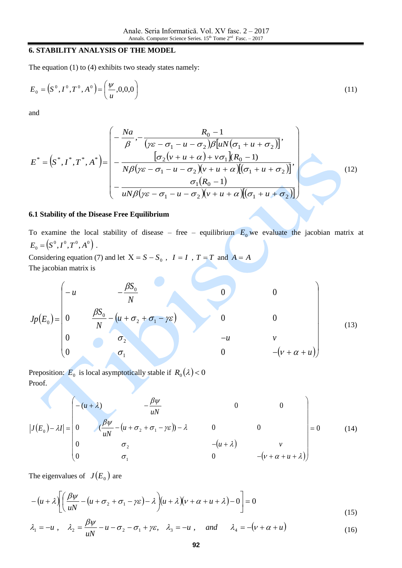### **6. STABILITY ANALYSIS OF THE MODEL**

The equation (1) to (4) exhibits two steady states namely:

$$
E_0 = (S^0, I^0, T^0, A^0) = \left(\frac{\psi}{u}, 0, 0, 0\right)
$$
\n(11)

and

$$
E^* = \left(S^*, I^*, T^*, A^*\right) = \begin{pmatrix} -\frac{Na}{\beta}, -\frac{R_0 - 1}{(\gamma \varepsilon - \sigma_1 - u - \sigma_2)\beta [uN(\sigma_1 + u + \sigma_2)]}, \\ -\frac{[\sigma_2(\nu + u + \alpha) + \nu \sigma_1](R_0 - 1)}{N\beta (\gamma \varepsilon - \sigma_1 - u - \sigma_2)(\nu + u + \alpha)[(\sigma_1 + u + \sigma_2)]}, \\ -\frac{\sigma_1(R_0 - 1)}{uN\beta (\gamma \varepsilon - \sigma_1 - u - \sigma_2)(\nu + u + \alpha)[(\sigma_1 + u + \sigma_2)]} \end{pmatrix}
$$
(12)

#### **6.1 Stability of the Disease Free Equilibrium**

To examine the local stability of disease – free – equilibrium  $E_0$  we evaluate the jacobian matrix at  $E^{\vphantom{*}}_0 = \left( S^{\vphantom{*}}_{\vphantom{*}} ,I^{\vphantom{*}}_{\vphantom{*}} ,I^{\vphantom{*}}_{\vphantom{*}} ,A^{\vphantom{*}}_{\vphantom{*}} \right) \,.$ 

Considering equation (7) and let  $X = S - S_0$ ,  $I = I$ ,  $T = T$  and  $A = A$ The jacobian matrix is

$$
Jp(E_0) = \begin{pmatrix}\n-u & -\frac{\beta S_0}{N} & 0 & 0 \\
0 & \frac{\beta S_0}{N} - (u + \sigma_2 + \sigma_1 - \gamma \varepsilon) & 0 & 0 \\
0 & \sigma_2 & -u & v \\
0 & \sigma_1 & 0 & -(v + \alpha + u)\n\end{pmatrix}
$$
(13)

Preposition:  $E_0$  is local asymptotically stable if  $R_0(\lambda) < 0$ <br>Proof.<br> $\left(-\frac{u + \lambda}{\lambda}\right)$ Proof.

$$
\left|J(E_0) - \lambda I\right| = \begin{pmatrix} -(u + \lambda) & -\frac{\beta \psi}{uN} & 0 & 0 \\ 0 & \left(\frac{\beta \psi}{uN} - \left(u + \sigma_2 + \sigma_1 - \gamma \varepsilon\right)\right) - \lambda & 0 & 0 \\ 0 & \sigma_2 & -\left(u + \lambda\right) & v \\ 0 & \sigma_1 & 0 & -\left(v + \alpha + u + \lambda\right) \end{pmatrix} = 0 \tag{14}
$$

The eigenvalues of  $J(E_0)$  are

$$
-(u+\lambda)\left[\left(\frac{\beta\psi}{uN}-(u+\sigma_2+\sigma_1-\gamma\varepsilon)-\lambda\right)(u+\lambda)(v+\alpha+u+\lambda)-0\right]=0
$$
\n(15)

$$
\lambda_1 = -u \ , \quad \lambda_2 = \frac{\beta \psi}{uN} - u - \sigma_2 - \sigma_1 + \gamma \varepsilon, \quad \lambda_3 = -u \ , \quad \text{and} \quad \lambda_4 = -(\nu + \alpha + u) \tag{16}
$$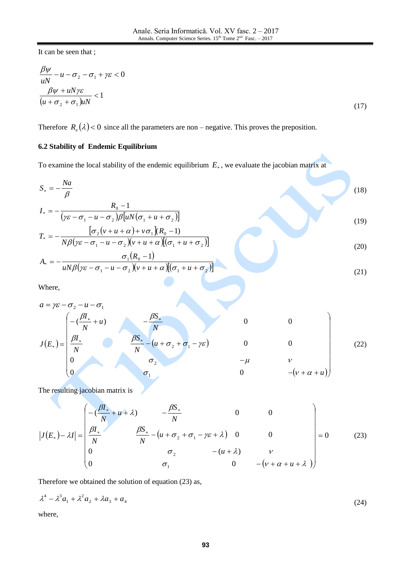It can be seen that ;

$$
\frac{\beta \psi}{uN} - u - \sigma_2 - \sigma_1 + \gamma \varepsilon < 0
$$
\n
$$
\frac{\beta \psi + uN \gamma \varepsilon}{(u + \sigma_2 + \sigma_1)uN} < 1
$$
\n
$$
(17)
$$

Therefore  $R_e(\lambda) < 0$  since all the parameters are non – negative. This proves the preposition.

## **6.2 Stability of Endemic Equilibrium**

To examine the local stability of the endemic equilibrium  $E_*$ , we evaluate the jacobian matrix at

$$
S_{*} = -\frac{Na}{\beta}
$$
\n
$$
I_{*} = -\frac{R_{0} - 1}{(\gamma \varepsilon - \sigma_{1} - u - \sigma_{2})\beta [uN(\sigma_{1} + u + \sigma_{2})]}
$$
\n
$$
T_{*} = -\frac{[\sigma_{2}(\nu + u + \alpha) + \nu \sigma_{1}](R_{0} - 1)}{N\beta(\gamma \varepsilon - \sigma_{1} - u - \sigma_{2})(\nu + u + \alpha)[(\sigma_{1} + u + \sigma_{2})]}
$$
\n
$$
A_{*} = -\frac{\sigma_{1}(R_{0} - 1)}{uN\beta(\gamma \varepsilon - \sigma_{1} - u - \sigma_{2})(\nu + u + \alpha)[(\sigma_{1} + u + \sigma_{2})]}
$$
\n(21)

Where,

$$
a = \gamma \varepsilon - \sigma_2 - u - \sigma_1
$$
\n
$$
J(E_*) = \begin{pmatrix}\n-\left(\frac{\beta I_*}{N} + u\right) & -\frac{\beta S_*}{N} \\
\frac{\beta I_*}{N} & \frac{\beta S_*}{N} - \left(u + \sigma_2 + \sigma_1 - \gamma \varepsilon\right) & 0 & 0 \\
0 & \sigma_2 & -\mu & \nu \\
0 & \sigma_1 & 0 & -\left(v + \alpha + u\right)\n\end{pmatrix}
$$
\n(22)

The resulting jacobian matrix is

$$
|J(E_*) - \lambda I| = \begin{pmatrix} -\left(\frac{\beta I_*}{N} + u + \lambda\right) & -\frac{\beta S_*}{N} & 0 & 0\\ \frac{\beta I_*}{N} & \frac{\beta S_*}{N} - \left(u + \sigma_2 + \sigma_1 - \gamma \varepsilon + \lambda\right) & 0 & 0\\ 0 & \sigma_2 & -\left(u + \lambda\right) & v\\ 0 & \sigma_1 & 0 & -\left(v + \alpha + u + \lambda\right) \end{pmatrix} = 0
$$
(23)

Therefore we obtained the solution of equation (23) as,

$$
\lambda^4 - \lambda^3 a_1 + \lambda^2 a_2 + \lambda a_3 + a_4 \tag{24}
$$

where,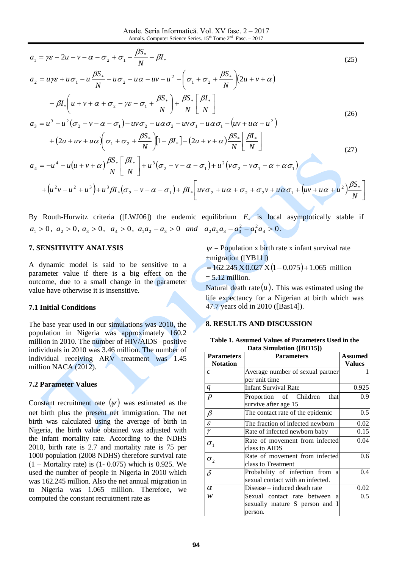Anale. Seria Informatică. Vol. XV fasc. 2 – 2017 Annals. Computer Science Series.  $15<sup>th</sup>$  Tome  $2<sup>nd</sup>$  Fasc.  $-2017$ 

$$
a_1 = \gamma \varepsilon - 2u - v - \alpha - \sigma_2 + \sigma_1 - \frac{\beta S_*}{N} - \beta I_*
$$
  
\n
$$
a_2 = u\gamma \varepsilon + u\sigma_1 - u\frac{\beta S_*}{N} - u\sigma_2 - u\alpha - uv - u^2 - \left(\sigma_1 + \sigma_2 + \frac{\beta S_*}{N}\right) (2u + v + \alpha)
$$
\n(25)

$$
= u\gamma\varepsilon + u\sigma_1 - u\frac{D\delta}{N} - u\sigma_2 - u\alpha - uv - u^2 - \left(\sigma_1 + \sigma_2 + \frac{D\delta}{N}\right)\left(2u + v + \alpha\right)
$$

$$
- \beta I_* \left(u + v + \alpha + \sigma_2 - \gamma\varepsilon - \sigma_1 + \frac{\beta S_*}{N}\right) + \frac{\beta S_*}{N} \left[\frac{\beta I_*}{N}\right]
$$

$$
= u^3 - u^2(\sigma_2 - v - \alpha - \sigma_1) - uv\sigma_2 - u\alpha\sigma_2 - uv\sigma_1 - u\alpha\sigma_1 - \left(uv + u\alpha + u^2\right)
$$
(26)

 $(\sigma_2 - v - \alpha - \sigma_1) - uv \sigma_2 - u \alpha \sigma_2 - uv \sigma_1 - u \alpha \sigma_1 - (uv + u \alpha + u^2)$  $= u<sup>3</sup> - u<sup>2</sup>(\sigma_2 - v - \alpha - \sigma_1) - uv \sigma_2 - u\alpha \sigma_2 - uv \sigma_1 - u\alpha \sigma_1 - (uv + u\alpha + v\alpha)$  $a_3 = u^3 - u^2(\sigma_2 - v - \alpha - \sigma_1) - uv\sigma_2 - uv\sigma_2 - uv\sigma_1 - u\alpha\sigma_1 - (uv + u\alpha + u^2)$ 

$$
u_{3} = u - u \left( \sigma_{2} - v - \alpha - \sigma_{1} \right) - uv \sigma_{2} - uv \sigma_{2} - uv \sigma_{1} - uv \sigma_{1} - (uv + u \alpha + u^{2})
$$
  
+ 
$$
\left( 2u + uv + u \alpha \right) \left( \sigma_{1} + \sigma_{2} + \frac{\beta S_{*}}{N} \right) \left[ 1 - \beta I_{*} \right] - \left( 2u + v + \alpha \right) \frac{\beta S_{*}}{N} \left[ \frac{\beta I_{*}}{N} \right]
$$
  

$$
a_{4} = -u^{4} - u(u + v + \alpha) \frac{\beta S_{*}}{N} \left[ \frac{\beta I_{*}}{N} \right] + u^{3} (\sigma_{2} - v - \alpha - \sigma_{1}) + u^{2} (v \sigma_{2} - v \sigma_{1} - \alpha + \alpha \sigma_{1})
$$
  
+ 
$$
\left( u^{2}v - u^{2} + u^{3} \right) + u^{3} \beta I_{*} (\sigma_{2} - v - \alpha - \sigma_{1}) + \beta I_{*} \left[ uv \sigma_{2} + u \alpha + \sigma_{2} + \sigma_{2} v + u \alpha \sigma_{1} + \left( uv + u \alpha + u^{2} \right) \frac{\beta S_{*}}{N} \right]
$$
  
(27)

By Routh-Hurwitz criteria ([LWJ06]) the endemic equilibrium  $E^*$  is local asymptotically stable if  $a_1 > 0$ ,  $a_2 > 0$ ,  $a_3 > 0$ ,  $a_4 > 0$ ,  $a_1a_2 - a_3 > 0$  and  $a_2a_2a_3 - a_3^2 - a_1^2a_4 > 0$ .

### **7. SENSITIVITY ANALYSIS**

A dynamic model is said to be sensitive to a parameter value if there is a big effect on the outcome, due to a small change in the parameter value have otherwise it is insensitive.

#### **7.1 Initial Conditions**

The base year used in our simulations was 2010, the population in Nigeria was approximately 160.2 million in 2010. The number of HIV/AIDS –positive individuals in 2010 was 3.46 million. The number of individual receiving ARV treatment was 1.45 million NACA (2012).

#### **7.2 Parameter Values**

Constant recruitment rate  $(\psi)$  was estimated as the net birth plus the present net immigration. The net birth was calculated using the average of birth in Nigeria, the birth value obtained was adjusted with the infant mortality rate. According to the NDHS 2010, birth rate is 2.7 and mortality rate is 75 per 1000 population (2008 NDHS) therefore survival rate  $(1 -$ Mortality rate) is  $(1 - 0.075)$  which is 0.925. We used the number of people in Nigeria in 2010 which was 162.245 million. Also the net annual migration in to Nigeria was 1.065 million. Therefore, we computed the constant recruitment rate as

 $\nu$  = Population x birth rate x infant survival rate +migration ([YB11])

J

*N*

 $= 162.245 \text{ X} 0.027 \text{ X} (1 - 0.075) + 1.065 \text{ million}$  $= 5.12$  million.

Natural death rate  $(u)$ . This was estimated using the life expectancy for a Nigerian at birth which was 47.7 years old in 2010 ([Bas14]).

#### **8. RESULTS AND DISCUSSION**

**Table 1. Assumed Values of Parameters Used in the Data Simulation ([BO15])**

| <b>Parameters</b>     | <b>Parameters</b>                | <b>Assumed</b> |
|-----------------------|----------------------------------|----------------|
| <b>Notation</b>       |                                  | <b>Values</b>  |
| $\overline{c}$        | Average number of sexual partner |                |
|                       | per unit time                    |                |
| $\boldsymbol{q}$      | <b>Infant Survival Rate</b>      | 0.925          |
| $\boldsymbol{p}$      | Proportion of Children<br>that   | 0.9            |
|                       | survive after age 15             |                |
| $\beta$               | The contact rate of the epidemic | 0.5            |
| $\mathcal{E}_{0}^{2}$ | The fraction of infected newborn | 0.02           |
| $\gamma$              | Rate of infected newborn baby    | 0.15           |
| $\sigma_{1}$          | Rate of movement from infected   | 0.04           |
|                       | class to AIDS                    |                |
| $\sigma_{2}$          | Rate of movement from infected   | 0.6            |
|                       | class to Treatment               |                |
| $\delta$              | Probability of infection from a  | 0.4            |
|                       | sexual contact with an infected. |                |
| $\alpha$              | Disease – induced death rate     | 0.02           |
| w                     | Sexual contact rate between a    | 0.5            |
|                       | sexually mature S person and I   |                |
|                       | person.                          |                |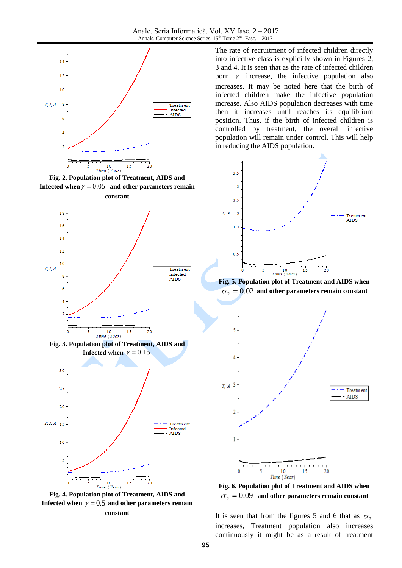

**Fig. 2. Population plot of Treatment, AIDS and Infected when**  $\gamma = 0.05$  and other parameters remain **constant**





**constant**

The rate of recruitment of infected children directly into infective class is explicitly shown in Figures 2, 3 and 4. It is seen that as the rate of infected children born  $\gamma$  increase, the infective population also increases. It may be noted here that the birth of infected children make the infective population increase. Also AIDS population decreases with time then it increases until reaches its equilibrium position. Thus, if the birth of infected children is controlled by treatment, the overall infective population will remain under control. This will help in reducing the AIDS population.



**Fig. 5. Population plot of Treatment and AIDS when**   $\sigma_2 = 0.02$  and other parameters remain constant





It is seen that from the figures 5 and 6 that as  $\sigma_2$ increases, Treatment population also increases continuously it might be as a result of treatment

Infected **AIDS**